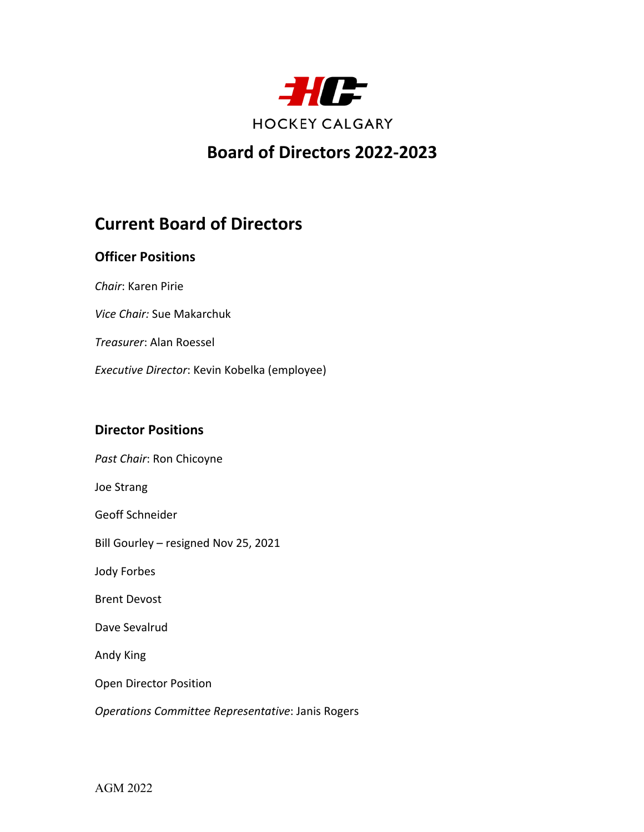

# **Board of Directors 2022-2023**

# **Current Board of Directors**

## **Officer Positions**

*Chair*: Karen Pirie

*Vice Chair:* Sue Makarchuk

*Treasurer*: Alan Roessel

*Executive Director*: Kevin Kobelka (employee)

#### **Director Positions**

*Past Chair*: Ron Chicoyne Joe Strang Geoff Schneider Bill Gourley – resigned Nov 25, 2021 Jody Forbes Brent Devost Dave Sevalrud Andy King Open Director Position *Operations Committee Representative*: Janis Rogers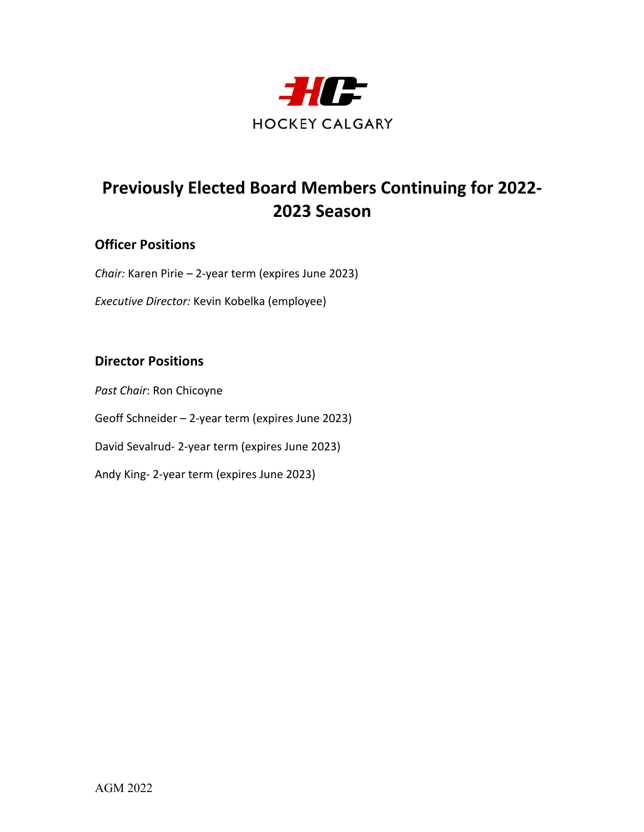

# **Previously Elected Board Members Continuing for 2022- 2023 Season**

## **Officer Positions**

*Chair:* Karen Pirie *–* 2-year term (expires June 2023)

*Executive Director:* Kevin Kobelka (employee)

## **Director Positions**

*Past Chair*: Ron Chicoyne Geoff Schneider – 2-year term (expires June 2023) David Sevalrud- 2-year term (expires June 2023) Andy King- 2-year term (expires June 2023)